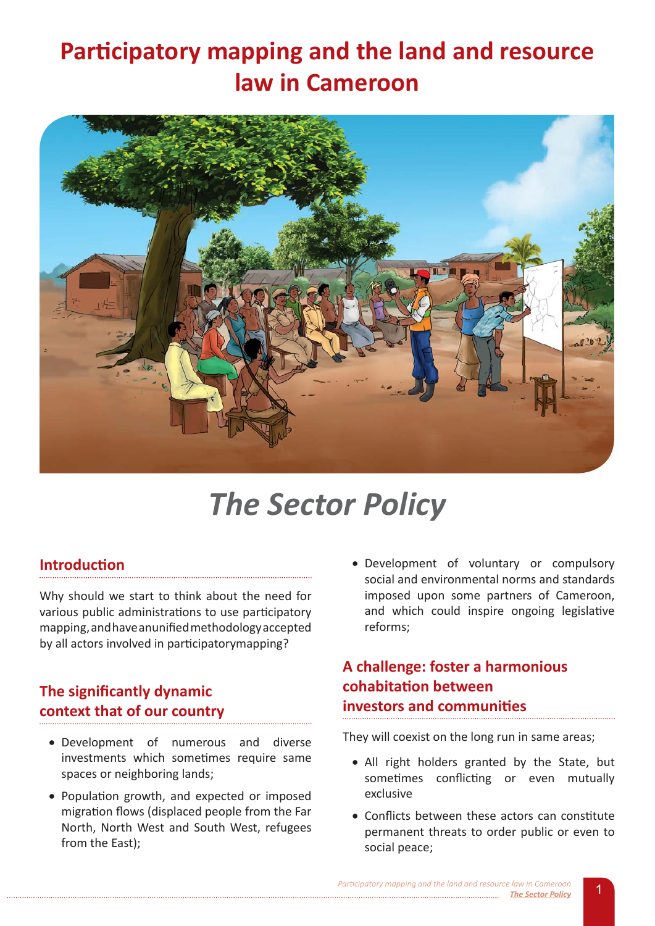# Participatory mapping and the land and resource **law in Cameroon**



# *The Sector Policy*

## **Introduction**

Why should we start to think about the need for various public administrations to use participatory mapping, and have anunified methodology accepted by all actors involved in participatorymapping?

# **The significantly dynamic CONTEXT THAT OF OUT COUNTRY**

- Development of numerous and diverse investments which sometimes require same spaces or neighboring lands;
- Population growth, and expected or imposed migration flows (displaced people from the Far North, North West and South West, refugees from the East);

• Development of voluntary or compulsory social and environmental norms and standards imposed upon some partners of Cameroon, and which could inspire ongoing legislative reforms;

# **A** challenge: foster a harmonious **Cohabitation between** investors and communities

They will coexist on the long run in same areas;

- All right holders granted by the State, but sometimes conflicting or even mutually exclusive
- Conflicts between these actors can constitute permanent threats to order public or even to social peace;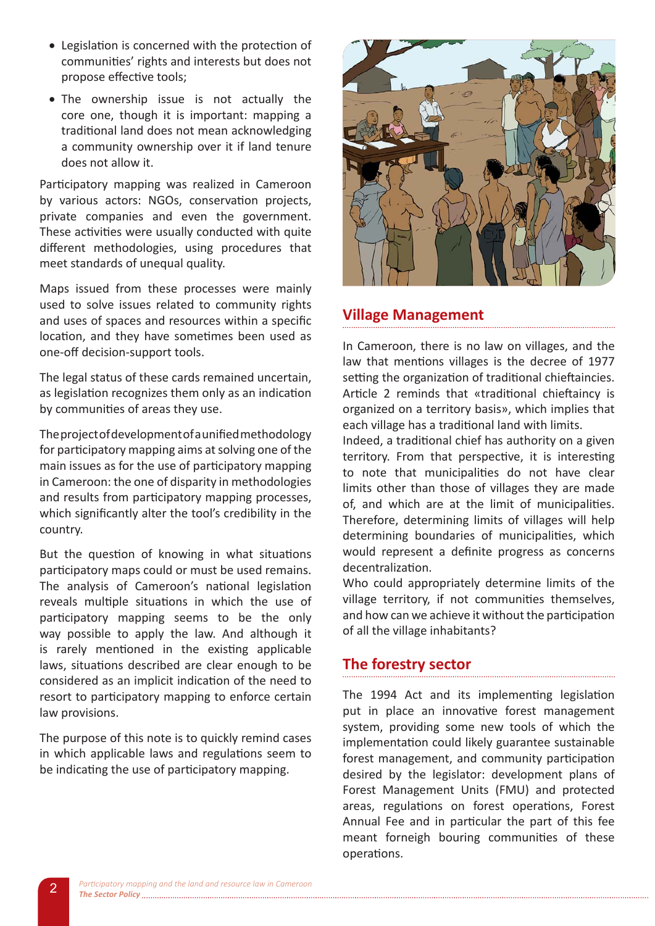- Legislation is concerned with the protection of communities' rights and interests but does not propose effective tools;
- . The ownership issue is not actually the core one, though it is important: mapping a traditional land does not mean acknowledging a community ownership over it if land tenure does not allow it.

Participatory mapping was realized in Cameroon by various actors: NGOs, conservation projects, private companies and even the government. These activities were usually conducted with quite different methodologies, using procedures that meet standards of unequal quality.

Maps issued from these processes were mainly used to solve issues related to community rights and uses of spaces and resources within a specific location, and they have sometimes been used as one-off decision-support tools.

The legal status of these cards remained uncertain, as legislation recognizes them only as an indication by communities of areas they use.

The project of development of a unified methodology for participatory mapping aims at solving one of the main issues as for the use of participatory mapping in Cameroon: the one of disparity in methodologies and results from participatory mapping processes, which significantly alter the tool's credibility in the country.

But the question of knowing in what situations participatory maps could or must be used remains. The analysis of Cameroon's national legislation reveals multiple situations in which the use of participatory mapping seems to be the only way possible to apply the law. And although it is rarely mentioned in the existing applicable laws, situations described are clear enough to be considered as an implicit indication of the need to resort to participatory mapping to enforce certain law provisions.

The purpose of this note is to quickly remind cases in which applicable laws and regulations seem to be indicating the use of participatory mapping.



## **Village Management**

In Cameroon, there is no law on villages, and the law that mentions villages is the decree of 1977 setting the organization of traditional chieftaincies. Article 2 reminds that «traditional chieftaincy is organized on a territory basis», which implies that each village has a traditional land with limits.

Indeed, a traditional chief has authority on a given territory. From that perspective, it is interesting to note that municipalities do not have clear limits other than those of villages they are made of, and which are at the limit of municipalities. Therefore, determining limits of villages will help determining boundaries of municipalities, which would represent a definite progress as concerns decentralization.

Who could appropriately determine limits of the village territory, if not communities themselves, and how can we achieve it without the participation of all the village inhabitants?

## The forestry sector

The 1994 Act and its implementing legislation put in place an innovative forest management system, providing some new tools of which the implementation could likely guarantee sustainable forest management, and community participation desired by the legislator: development plans of Forest Management Units (FMU) and protected areas, regulations on forest operations, Forest Annual Fee and in particular the part of this fee meant forneigh bouring communities of these operations.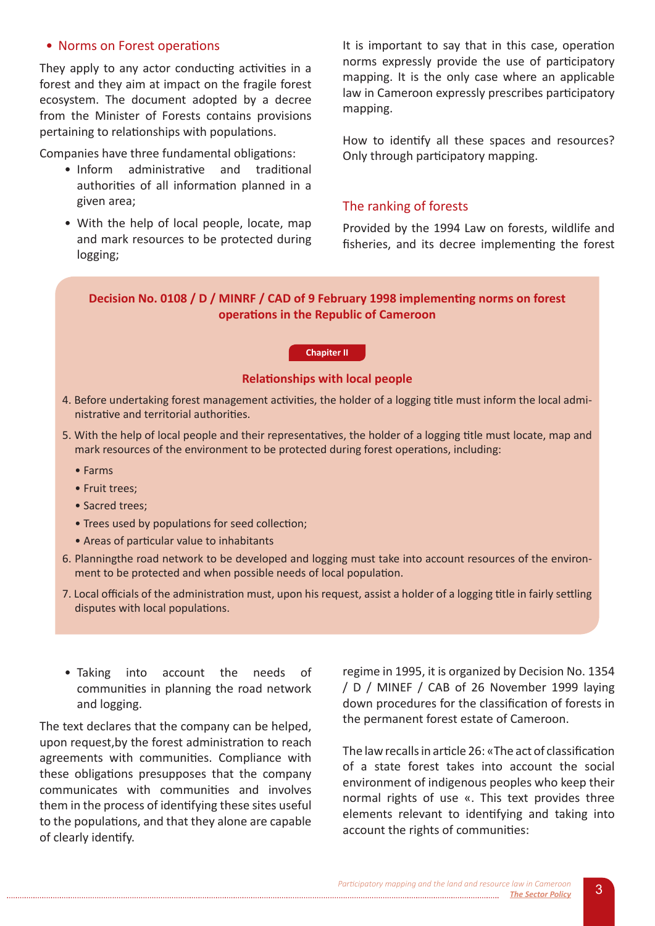#### • Norms on Forest operations

They apply to any actor conducting activities in a forest and they aim at impact on the fragile forest ecosystem. The document adopted by a decree from the Minister of Forests contains provisions pertaining to relationships with populations.

Companies have three fundamental obligations:

- · Inform administrative and traditional authorities of all information planned in a given area;
- With the help of local people, locate, map and mark resources to be protected during logging;

It is important to say that in this case, operation norms expressly provide the use of participatory mapping. It is the only case where an applicable law in Cameroon expressly prescribes participatory mapping.

How to identify all these spaces and resources? Only through participatory mapping.

#### The ranking of forests

Provided by the 1994 Law on forests, wildlife and fisheries, and its decree implementing the forest

Decision No. 0108 / D / MINRF / CAD of 9 February 1998 implementing norms on forest operations in the Republic of Cameroon

#### **Chapiter II**

#### **Relationships with local people**

- 4. Before undertaking forest management activities, the holder of a logging title must inform the local administrative and territorial authorities.
- 5. With the help of local people and their representatives, the holder of a logging title must locate, map and mark resources of the environment to be protected during forest operations, including:
	- $•$  Farms
	- Fruit trees:
	- Sacred trees;
	- Trees used by populations for seed collection;
	- Areas of particular value to inhabitants
- 6. Planningthe road network to be developed and logging must take into account resources of the environment to be protected and when possible needs of local population.
- 7. Local officials of the administration must, upon his request, assist a holder of a logging title in fairly settling disputes with local populations.
- $\bullet$  Taking into account the needs of communities in planning the road network and logging.

The text declares that the company can be helped, upon request by the forest administration to reach agreements with communities. Compliance with these obligations presupposes that the company communicates with communities and involves them in the process of identifying these sites useful to the populations, and that they alone are capable of clearly identify.

regime in 1995, it is organized by Decision No. 1354 / D / MINEF / CAB of 26 November 1999 laying down procedures for the classification of forests in the permanent forest estate of Cameroon.

The law recalls in article 26: «The act of classification of a state forest takes into account the social environment of indigenous peoples who keep their normal rights of use «. This text provides three elements relevant to identifying and taking into account the rights of communities: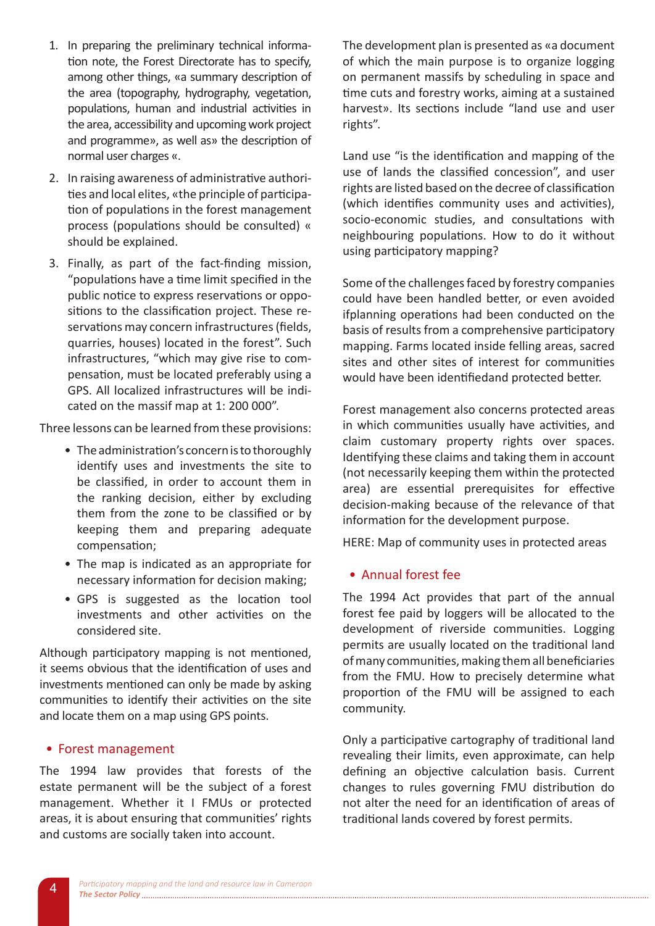- 1. In preparing the preliminary technical information note, the Forest Directorate has to specify. among other things, «a summary description of the area (topography, hydrography, vegetation, populations, human and industrial activities in the area, accessibility and upcoming work project and programme», as well as» the description of normal user charges «.
- 2. In raising awareness of administrative authorities and local elites, «the principle of participation of populations in the forest management process (populations should be consulted) « should be explained.
- 3. Finally, as part of the fact-finding mission, "populations have a time limit specified in the public notice to express reservations or oppositions to the classification project. These reservations may concern infrastructures (fields, quarries, houses) located in the forest". Such infrastructures, "which may give rise to compensation, must be located preferably using a GPS. All localized infrastructures will be indicated on the massif map at 1: 200 000".

Three lessons can be learned from these provisions:

- The administration's concern is to thoroughly identify uses and investments the site to be classified, in order to account them in the ranking decision, either by excluding them from the zone to be classified or by keeping them and preparing adequate compensation;
- The map is indicated as an appropriate for necessary information for decision making;
- GPS is suggested as the location tool investments and other activities on the considered site.

Although participatory mapping is not mentioned, it seems obvious that the identification of uses and investments mentioned can only be made by asking communities to identify their activities on the site and locate them on a map using GPS points.

## • Forest management

The 1994 law provides that forests of the estate permanent will be the subject of a forest management. Whether it I FMUs or protected areas, it is about ensuring that communities' rights and customs are socially taken into account.

The development plan is presented as «a document of which the main purpose is to organize logging on permanent massifs by scheduling in space and time cuts and forestry works, aiming at a sustained harvest». Its sections include "land use and user rights".

Land use "is the identification and mapping of the use of lands the classified concession", and user rights are listed based on the decree of classification (which identifies community uses and activities), socio-economic studies, and consultations with neighbouring populations. How to do it without using participatory mapping?

Some of the challenges faced by forestry companies could have been handled better, or even avoided ifplanning operations had been conducted on the basis of results from a comprehensive participatory mapping. Farms located inside felling areas, sacred sites and other sites of interest for communities would have been identifiedand protected better.

Forest management also concerns protected areas in which communities usually have activities, and claim customary property rights over spaces. Identifying these claims and taking them in account (not necessarily keeping them within the protected area) are essential prerequisites for effective decision-making because of the relevance of that information for the development purpose.

HERE: Map of community uses in protected areas

#### • Annual forest fee

The 1994 Act provides that part of the annual forest fee paid by loggers will be allocated to the development of riverside communities. Logging permits are usually located on the traditional land of many communities, making them all beneficiaries from the FMU. How to precisely determine what proportion of the FMU will be assigned to each community.

Only a participative cartography of traditional land revealing their limits, even approximate, can help defining an objective calculation basis. Current changes to rules governing FMU distribution do not alter the need for an identification of areas of traditional lands covered by forest permits.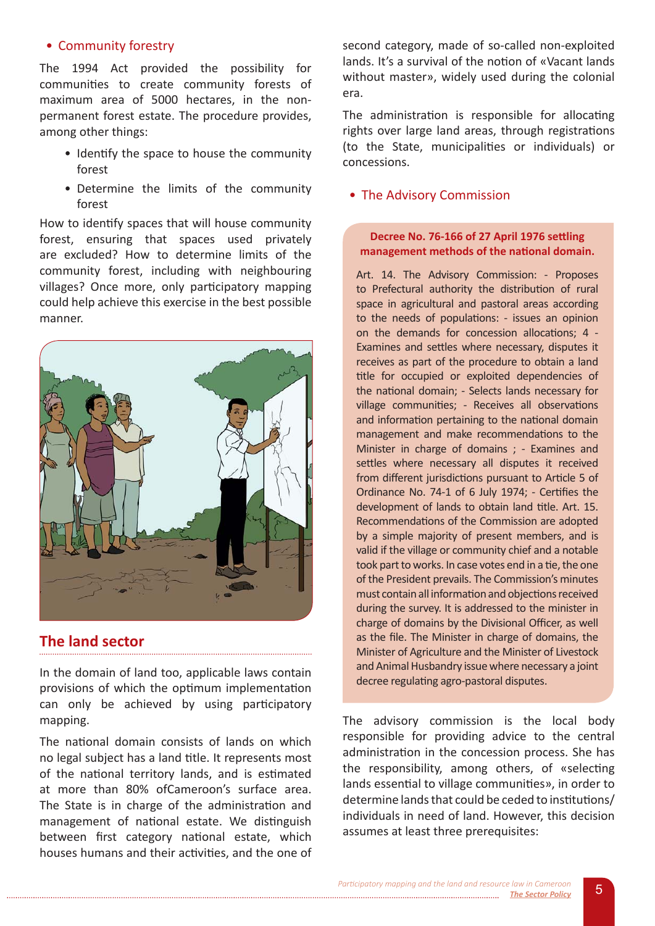#### • Community forestry

The 1994 Act provided the possibility for communities to create community forests of maximum area of 5000 hectares, in the nonpermanent forest estate. The procedure provides, among other things:

- Identify the space to house the community forest
- Determine the limits of the community forest

How to identify spaces that will house community forest, ensuring that spaces used privately are excluded? How to determine limits of the community forest, including with neighbouring villages? Once more, only participatory mapping could help achieve this exercise in the best possible manner.



## The land sector

In the domain of land too, applicable laws contain provisions of which the optimum implementation can only be achieved by using participatory mapping.

The national domain consists of lands on which no legal subject has a land title. It represents most of the national territory lands, and is estimated at more than 80% of Cameroon's surface area. The State is in charge of the administration and management of national estate. We distinguish between first category national estate, which houses humans and their activities, and the one of second category, made of so-called non-exploited lands. It's a survival of the notion of «Vacant lands without master», widely used during the colonial era.

The administration is responsible for allocating rights over large land areas, through registrations (to the State, municipalities or individuals) or concessions.

#### • The Advisory Commission

#### Decree No. 76-166 of 27 April 1976 settling management methods of the national domain.

Art. 14. The Advisory Commission: - Proposes to Prefectural authority the distribution of rural space in agricultural and pastoral areas according to the needs of populations: - issues an opinion on the demands for concession allocations; 4 -Examines and settles where necessary, disputes it receives as part of the procedure to obtain a land title for occupied or exploited dependencies of the national domain; - Selects lands necessary for village communities; - Receives all observations and information pertaining to the national domain management and make recommendations to the Minister in charge of domains ; - Examines and settles where necessary all disputes it received from different jurisdictions pursuant to Article 5 of Ordinance No. 74-1 of 6 July 1974; - Certifies the development of lands to obtain land title. Art. 15. Recommendations of the Commission are adopted by a simple majority of present members, and is valid if the village or community chief and a notable took part to works. In case votes end in a tie, the one of the President prevails. The Commission's minutes must contain all information and objections received during the survey. It is addressed to the minister in charge of domains by the Divisional Officer, as well as the file. The Minister in charge of domains, the Minister of Agriculture and the Minister of Livestock and Animal Husbandry issue where necessary a joint decree regulating agro-pastoral disputes.

The advisory commission is the local body responsible for providing advice to the central administration in the concession process. She has the responsibility, among others, of «selecting lands essential to village communities», in order to determine lands that could be ceded to institutions/ individuals in need of land. However, this decision assumes at least three prerequisites: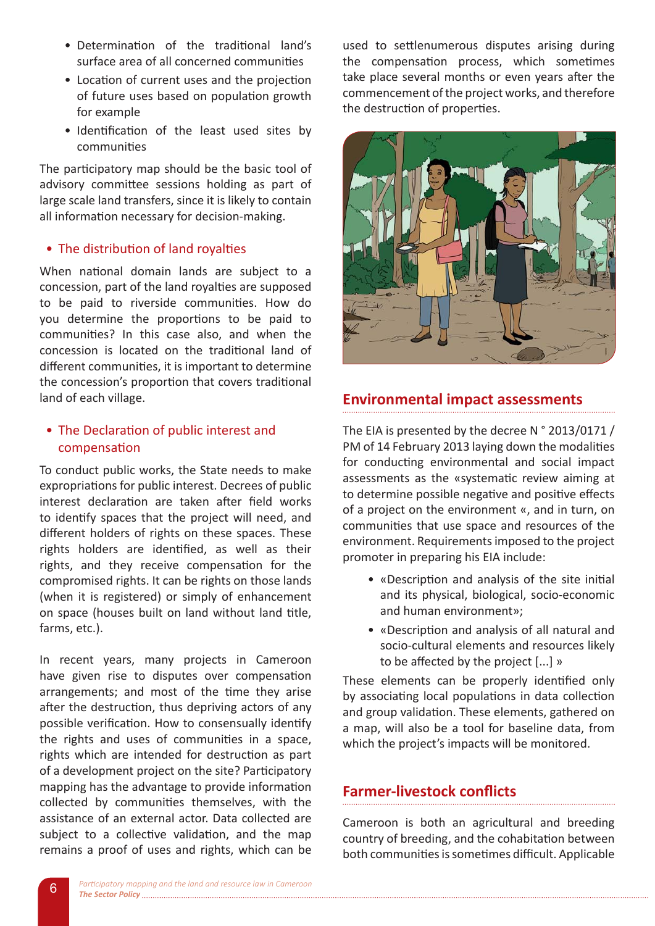- Determination of the traditional land's surface area of all concerned communities
- Location of current uses and the projection of future uses based on population growth for example
- Identification of the least used sites by communities

The participatory map should be the basic tool of advisory committee sessions holding as part of large scale land transfers, since it is likely to contain all information necessary for decision-making.

## • The distribution of land rovalties

When national domain lands are subject to a concession, part of the land royalties are supposed to be paid to riverside communities. How do you determine the proportions to be paid to communities? In this case also, and when the concession is located on the traditional land of different communities, it is important to determine the concession's proportion that covers traditional land of each village.

## • The Declaration of public interest and compensation

To conduct public works, the State needs to make expropriations for public interest. Decrees of public interest declaration are taken after field works to identify spaces that the project will need, and different holders of rights on these spaces. These rights holders are identified, as well as their rights, and they receive compensation for the compromised rights. It can be rights on those lands (when it is registered) or simply of enhancement on space (houses built on land without land title, farms, etc.).

In recent years, many projects in Cameroon have given rise to disputes over compensation arrangements; and most of the time they arise after the destruction, thus depriving actors of any possible verification. How to consensually identify the rights and uses of communities in a space, rights which are intended for destruction as part of a development project on the site? Participatory mapping has the advantage to provide information collected by communities themselves, with the assistance of an external actor. Data collected are subject to a collective validation, and the map remains a proof of uses and rights, which can be

used to settlenumerous disputes arising during the compensation process, which sometimes take place several months or even years after the commencement of the project works, and therefore the destruction of properties.



## **Environmental impact assessments**

The EIA is presented by the decree N ° 2013/0171 / PM of 14 February 2013 laying down the modalities for conducting environmental and social impact assessments as the «systematic review aiming at to determine possible negative and positive effects of a project on the environment «, and in turn, on communities that use space and resources of the environment. Requirements imposed to the project promoter in preparing his EIA include:

- «Description and analysis of the site initial and its physical, biological, socio-economic and human environment»;
- «Description and analysis of all natural and socio-cultural elements and resources likely to be affected by the project [...] »

These elements can be properly identified only by associating local populations in data collection and group validation. These elements, gathered on a map, will also be a tool for baseline data, from which the project's impacts will be monitored.

## **Earmer-livestock conflicts**

Cameroon is both an agricultural and breeding country of breeding, and the cohabitation between both communities is sometimes difficult. Applicable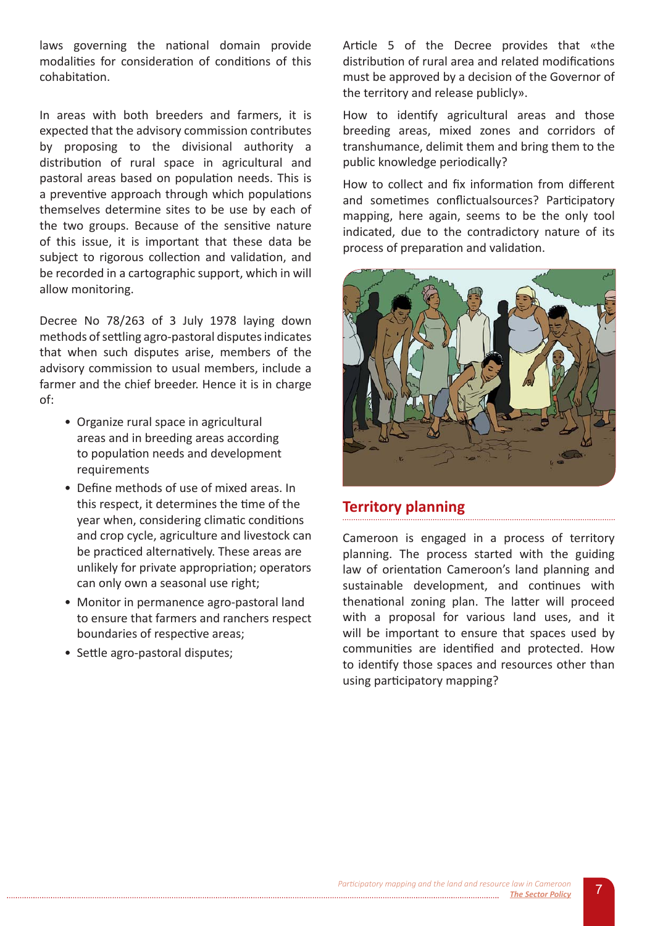laws governing the national domain provide modalities for consideration of conditions of this cohabitation.

In areas with both breeders and farmers, it is expected that the advisory commission contributes by proposing to the divisional authority a distribution of rural space in agricultural and pastoral areas based on population needs. This is a preventive approach through which populations themselves determine sites to be use by each of the two groups. Because of the sensitive nature of this issue, it is important that these data be subject to rigorous collection and validation, and be recorded in a cartographic support, which in will allow monitoring.

Decree No 78/263 of 3 July 1978 laying down methods of settling agro-pastoral disputes indicates that when such disputes arise, members of the advisory commission to usual members, include a farmer and the chief breeder. Hence it is in charge of:

- Organize rural space in agricultural areas and in breeding areas according to population needs and development requirements
- Define methods of use of mixed areas. In this respect, it determines the time of the year when, considering climatic conditions and crop cycle, agriculture and livestock can be practiced alternatively. These areas are unlikely for private appropriation; operators can only own a seasonal use right;
- Monitor in permanence agro-pastoral land to ensure that farmers and ranchers respect boundaries of respective areas;
- Settle agro-pastoral disputes;

Article 5 of the Decree provides that «the distribution of rural area and related modifications must be approved by a decision of the Governor of the territory and release publicly».

How to identify agricultural areas and those breeding areas, mixed zones and corridors of transhumance, delimit them and bring them to the public knowledge periodically?

How to collect and fix information from different and sometimes conflictualsources? Participatory mapping, here again, seems to be the only tool indicated, due to the contradictory nature of its process of preparation and validation.



# **Territory planning**

Cameroon is engaged in a process of territory planning. The process started with the guiding law of orientation Cameroon's land planning and sustainable development, and continues with thenational zoning plan. The latter will proceed with a proposal for various land uses, and it will be important to ensure that spaces used by communities are identified and protected. How to identify those spaces and resources other than using participatory mapping?